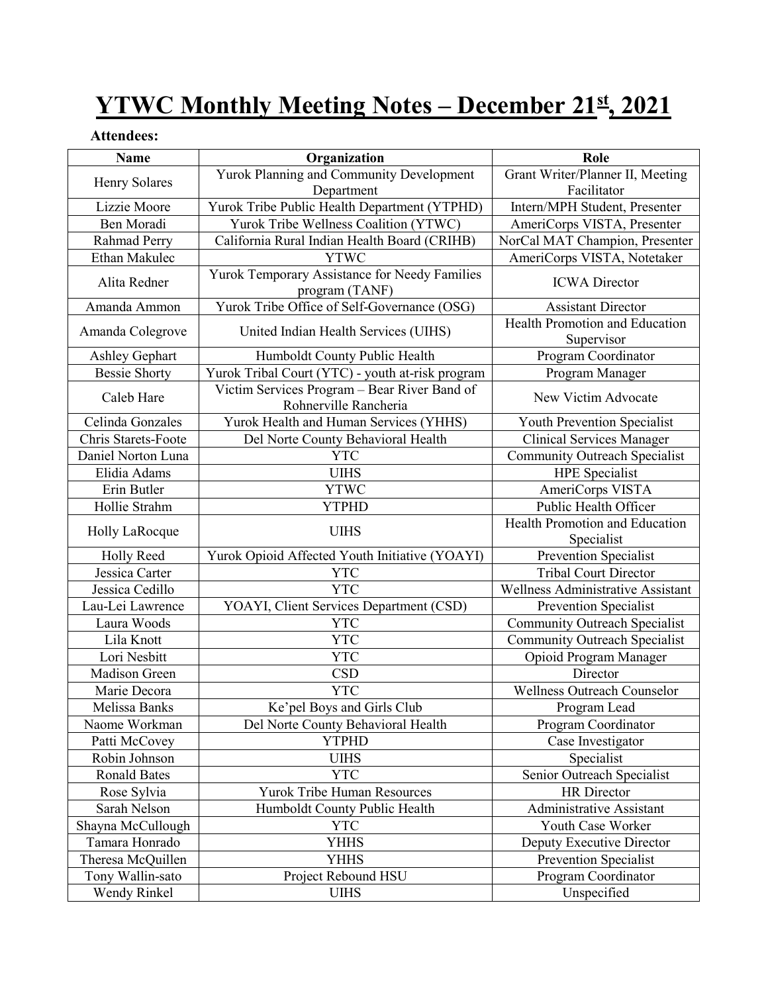# **YTWC Monthly Meeting Notes – December 21st, 2021**

## **Attendees:**

| <b>Name</b>                | Organization                                                          | Role                                                |
|----------------------------|-----------------------------------------------------------------------|-----------------------------------------------------|
| Henry Solares              | Yurok Planning and Community Development                              | Grant Writer/Planner II, Meeting                    |
|                            | Department                                                            | Facilitator                                         |
| Lizzie Moore               | Yurok Tribe Public Health Department (YTPHD)                          | Intern/MPH Student, Presenter                       |
| Ben Moradi                 | Yurok Tribe Wellness Coalition (YTWC)                                 | AmeriCorps VISTA, Presenter                         |
| Rahmad Perry               | California Rural Indian Health Board (CRIHB)                          | NorCal MAT Champion, Presenter                      |
| Ethan Makulec              | <b>YTWC</b>                                                           | AmeriCorps VISTA, Notetaker                         |
| Alita Redner               | Yurok Temporary Assistance for Needy Families<br>program (TANF)       | <b>ICWA</b> Director                                |
| Amanda Ammon               | Yurok Tribe Office of Self-Governance (OSG)                           | <b>Assistant Director</b>                           |
| Amanda Colegrove           | United Indian Health Services (UIHS)                                  | <b>Health Promotion and Education</b><br>Supervisor |
| Ashley Gephart             | Humboldt County Public Health                                         | Program Coordinator                                 |
| <b>Bessie Shorty</b>       | Yurok Tribal Court (YTC) - youth at-risk program                      | Program Manager                                     |
| Caleb Hare                 | Victim Services Program - Bear River Band of<br>Rohnerville Rancheria | New Victim Advocate                                 |
| Celinda Gonzales           | Yurok Health and Human Services (YHHS)                                | Youth Prevention Specialist                         |
| <b>Chris Starets-Foote</b> | Del Norte County Behavioral Health                                    | <b>Clinical Services Manager</b>                    |
| Daniel Norton Luna         | <b>YTC</b>                                                            | <b>Community Outreach Specialist</b>                |
| Elidia Adams               | <b>UIHS</b>                                                           | <b>HPE</b> Specialist                               |
| Erin Butler                | <b>YTWC</b>                                                           | AmeriCorps VISTA                                    |
| Hollie Strahm              | <b>YTPHD</b>                                                          | Public Health Officer                               |
| Holly LaRocque             | <b>UIHS</b>                                                           | Health Promotion and Education<br>Specialist        |
| <b>Holly Reed</b>          | Yurok Opioid Affected Youth Initiative (YOAYI)                        | Prevention Specialist                               |
| Jessica Carter             | <b>YTC</b>                                                            | <b>Tribal Court Director</b>                        |
| Jessica Cedillo            | <b>YTC</b>                                                            | Wellness Administrative Assistant                   |
| Lau-Lei Lawrence           | YOAYI, Client Services Department (CSD)                               | <b>Prevention Specialist</b>                        |
| Laura Woods                | <b>YTC</b>                                                            | <b>Community Outreach Specialist</b>                |
| Lila Knott                 | <b>YTC</b>                                                            | <b>Community Outreach Specialist</b>                |
| Lori Nesbitt               | <b>YTC</b>                                                            | Opioid Program Manager                              |
| <b>Madison Green</b>       | <b>CSD</b>                                                            | Director                                            |
| Marie Decora               | <b>YTC</b>                                                            | Wellness Outreach Counselor                         |
| Melissa Banks              | Ke'pel Boys and Girls Club                                            | Program Lead                                        |
| Naome Workman              | Del Norte County Behavioral Health                                    | Program Coordinator                                 |
| Patti McCovey              | <b>YTPHD</b>                                                          | Case Investigator                                   |
| Robin Johnson              | <b>UIHS</b>                                                           | Specialist                                          |
| <b>Ronald Bates</b>        | <b>YTC</b>                                                            | Senior Outreach Specialist                          |
| Rose Sylvia                | Yurok Tribe Human Resources                                           | <b>HR</b> Director                                  |
| Sarah Nelson               | Humboldt County Public Health                                         | <b>Administrative Assistant</b>                     |
| Shayna McCullough          | <b>YTC</b>                                                            | Youth Case Worker                                   |
| Tamara Honrado             | YHHS                                                                  | Deputy Executive Director                           |
| Theresa McQuillen          | <b>YHHS</b>                                                           | Prevention Specialist                               |
| Tony Wallin-sato           | Project Rebound HSU                                                   | Program Coordinator                                 |
| Wendy Rinkel               | <b>UIHS</b>                                                           | Unspecified                                         |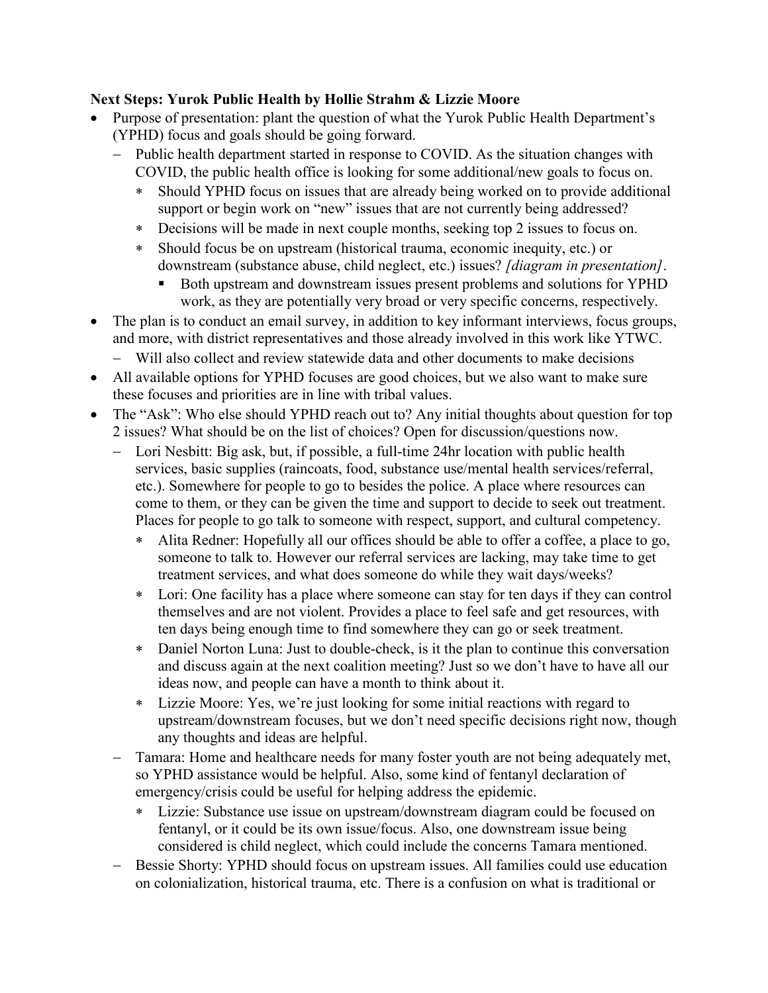#### **Next Steps: Yurok Public Health by Hollie Strahm & Lizzie Moore**

- Purpose of presentation: plant the question of what the Yurok Public Health Department's (YPHD) focus and goals should be going forward.
	- − Public health department started in response to COVID. As the situation changes with COVID, the public health office is looking for some additional/new goals to focus on.
		- ∗ Should YPHD focus on issues that are already being worked on to provide additional support or begin work on "new" issues that are not currently being addressed?
		- ∗ Decisions will be made in next couple months, seeking top 2 issues to focus on.
		- ∗ Should focus be on upstream (historical trauma, economic inequity, etc.) or downstream (substance abuse, child neglect, etc.) issues? *[diagram in presentation]*.
			- Both upstream and downstream issues present problems and solutions for YPHD work, as they are potentially very broad or very specific concerns, respectively.
- The plan is to conduct an email survey, in addition to key informant interviews, focus groups, and more, with district representatives and those already involved in this work like YTWC.
	- − Will also collect and review statewide data and other documents to make decisions
- All available options for YPHD focuses are good choices, but we also want to make sure these focuses and priorities are in line with tribal values.
- The "Ask": Who else should YPHD reach out to? Any initial thoughts about question for top 2 issues? What should be on the list of choices? Open for discussion/questions now.
	- − Lori Nesbitt: Big ask, but, if possible, a full-time 24hr location with public health services, basic supplies (raincoats, food, substance use/mental health services/referral, etc.). Somewhere for people to go to besides the police. A place where resources can come to them, or they can be given the time and support to decide to seek out treatment. Places for people to go talk to someone with respect, support, and cultural competency.
		- ∗ Alita Redner: Hopefully all our offices should be able to offer a coffee, a place to go, someone to talk to. However our referral services are lacking, may take time to get treatment services, and what does someone do while they wait days/weeks?
		- ∗ Lori: One facility has a place where someone can stay for ten days if they can control themselves and are not violent. Provides a place to feel safe and get resources, with ten days being enough time to find somewhere they can go or seek treatment.
		- ∗ Daniel Norton Luna: Just to double-check, is it the plan to continue this conversation and discuss again at the next coalition meeting? Just so we don't have to have all our ideas now, and people can have a month to think about it.
		- ∗ Lizzie Moore: Yes, we're just looking for some initial reactions with regard to upstream/downstream focuses, but we don't need specific decisions right now, though any thoughts and ideas are helpful.
	- Tamara: Home and healthcare needs for many foster youth are not being adequately met, so YPHD assistance would be helpful. Also, some kind of fentanyl declaration of emergency/crisis could be useful for helping address the epidemic.
		- ∗ Lizzie: Substance use issue on upstream/downstream diagram could be focused on fentanyl, or it could be its own issue/focus. Also, one downstream issue being considered is child neglect, which could include the concerns Tamara mentioned.
	- − Bessie Shorty: YPHD should focus on upstream issues. All families could use education on colonialization, historical trauma, etc. There is a confusion on what is traditional or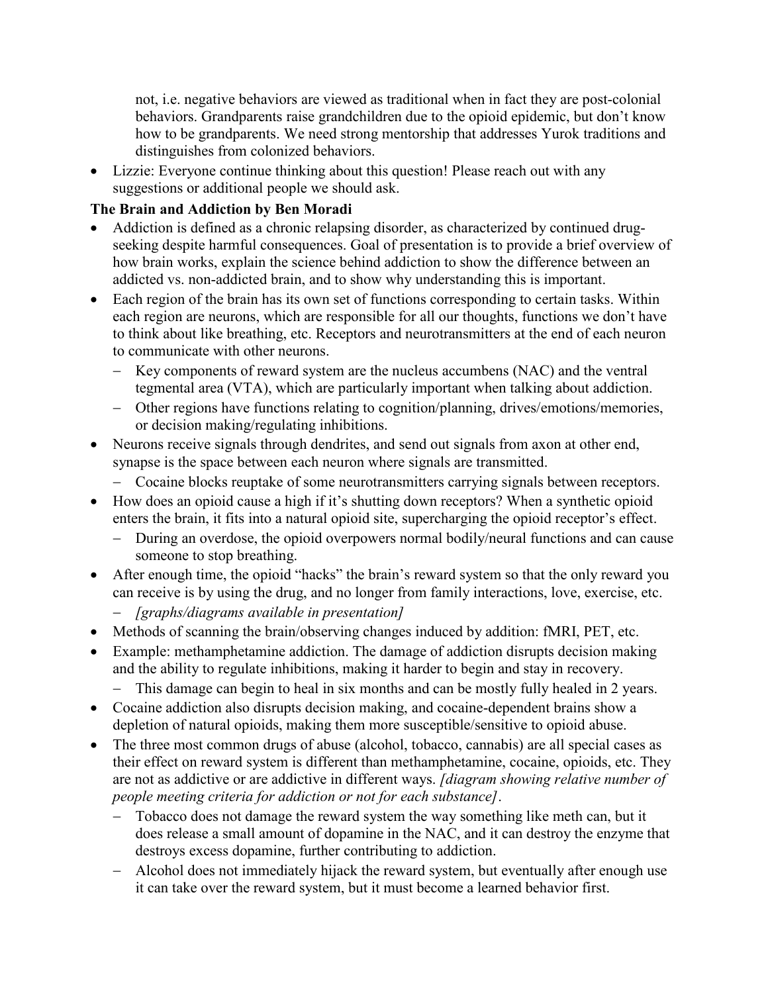not, i.e. negative behaviors are viewed as traditional when in fact they are post-colonial behaviors. Grandparents raise grandchildren due to the opioid epidemic, but don't know how to be grandparents. We need strong mentorship that addresses Yurok traditions and distinguishes from colonized behaviors.

• Lizzie: Everyone continue thinking about this question! Please reach out with any suggestions or additional people we should ask.

#### **The Brain and Addiction by Ben Moradi**

- Addiction is defined as a chronic relapsing disorder, as characterized by continued drugseeking despite harmful consequences. Goal of presentation is to provide a brief overview of how brain works, explain the science behind addiction to show the difference between an addicted vs. non-addicted brain, and to show why understanding this is important.
- Each region of the brain has its own set of functions corresponding to certain tasks. Within each region are neurons, which are responsible for all our thoughts, functions we don't have to think about like breathing, etc. Receptors and neurotransmitters at the end of each neuron to communicate with other neurons.
	- Key components of reward system are the nucleus accumbens (NAC) and the ventral tegmental area (VTA), which are particularly important when talking about addiction.
	- − Other regions have functions relating to cognition/planning, drives/emotions/memories, or decision making/regulating inhibitions.
- Neurons receive signals through dendrites, and send out signals from axon at other end, synapse is the space between each neuron where signals are transmitted.
	- − Cocaine blocks reuptake of some neurotransmitters carrying signals between receptors.
- How does an opioid cause a high if it's shutting down receptors? When a synthetic opioid enters the brain, it fits into a natural opioid site, supercharging the opioid receptor's effect.
	- − During an overdose, the opioid overpowers normal bodily/neural functions and can cause someone to stop breathing.
- After enough time, the opioid "hacks" the brain's reward system so that the only reward you can receive is by using the drug, and no longer from family interactions, love, exercise, etc.
	- − *[graphs/diagrams available in presentation]*
- Methods of scanning the brain/observing changes induced by addition: fMRI, PET, etc.
- Example: methamphetamine addiction. The damage of addiction disrupts decision making and the ability to regulate inhibitions, making it harder to begin and stay in recovery.
	- − This damage can begin to heal in six months and can be mostly fully healed in 2 years.
- Cocaine addiction also disrupts decision making, and cocaine-dependent brains show a depletion of natural opioids, making them more susceptible/sensitive to opioid abuse.
- The three most common drugs of abuse (alcohol, tobacco, cannabis) are all special cases as their effect on reward system is different than methamphetamine, cocaine, opioids, etc. They are not as addictive or are addictive in different ways. *[diagram showing relative number of people meeting criteria for addiction or not for each substance]*.
	- − Tobacco does not damage the reward system the way something like meth can, but it does release a small amount of dopamine in the NAC, and it can destroy the enzyme that destroys excess dopamine, further contributing to addiction.
	- Alcohol does not immediately hijack the reward system, but eventually after enough use it can take over the reward system, but it must become a learned behavior first.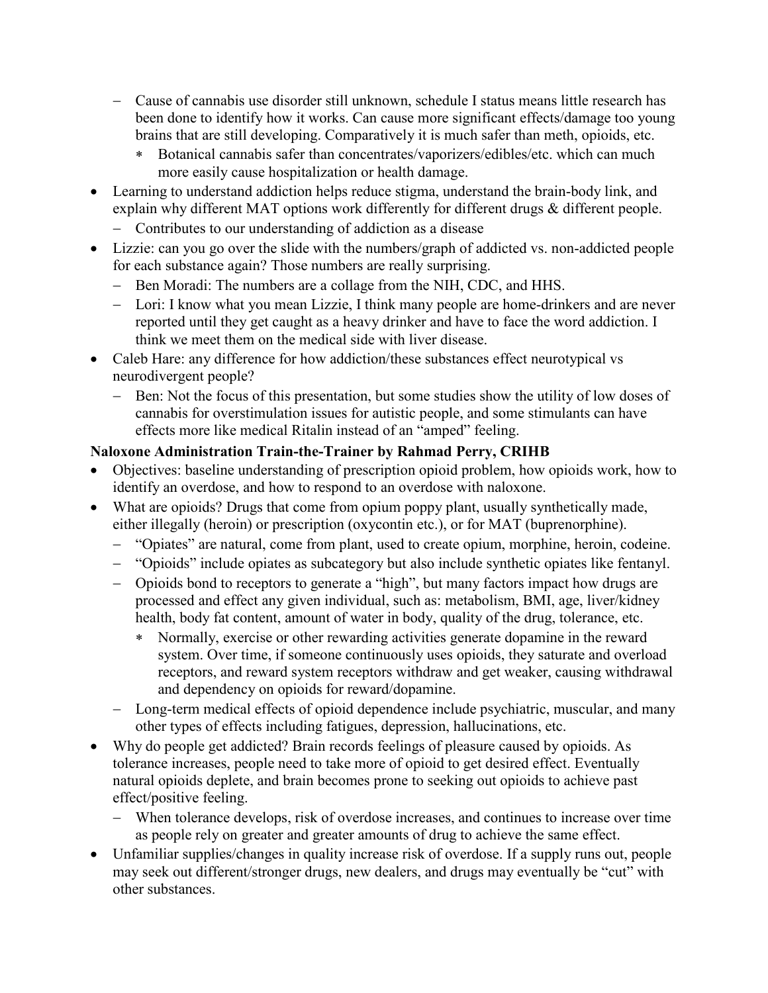- − Cause of cannabis use disorder still unknown, schedule I status means little research has been done to identify how it works. Can cause more significant effects/damage too young brains that are still developing. Comparatively it is much safer than meth, opioids, etc.
	- ∗ Botanical cannabis safer than concentrates/vaporizers/edibles/etc. which can much more easily cause hospitalization or health damage.
- Learning to understand addiction helps reduce stigma, understand the brain-body link, and explain why different MAT options work differently for different drugs & different people.
	- − Contributes to our understanding of addiction as a disease
- Lizzie: can you go over the slide with the numbers/graph of addicted vs. non-addicted people for each substance again? Those numbers are really surprising.
	- − Ben Moradi: The numbers are a collage from the NIH, CDC, and HHS.
	- − Lori: I know what you mean Lizzie, I think many people are home-drinkers and are never reported until they get caught as a heavy drinker and have to face the word addiction. I think we meet them on the medical side with liver disease.
- Caleb Hare: any difference for how addiction/these substances effect neurotypical vs neurodivergent people?
	- − Ben: Not the focus of this presentation, but some studies show the utility of low doses of cannabis for overstimulation issues for autistic people, and some stimulants can have effects more like medical Ritalin instead of an "amped" feeling.

### **Naloxone Administration Train-the-Trainer by Rahmad Perry, CRIHB**

- Objectives: baseline understanding of prescription opioid problem, how opioids work, how to identify an overdose, and how to respond to an overdose with naloxone.
- What are opioids? Drugs that come from opium poppy plant, usually synthetically made, either illegally (heroin) or prescription (oxycontin etc.), or for MAT (buprenorphine).
	- − "Opiates" are natural, come from plant, used to create opium, morphine, heroin, codeine.
	- − "Opioids" include opiates as subcategory but also include synthetic opiates like fentanyl.
	- − Opioids bond to receptors to generate a "high", but many factors impact how drugs are processed and effect any given individual, such as: metabolism, BMI, age, liver/kidney health, body fat content, amount of water in body, quality of the drug, tolerance, etc.
		- ∗ Normally, exercise or other rewarding activities generate dopamine in the reward system. Over time, if someone continuously uses opioids, they saturate and overload receptors, and reward system receptors withdraw and get weaker, causing withdrawal and dependency on opioids for reward/dopamine.
	- − Long-term medical effects of opioid dependence include psychiatric, muscular, and many other types of effects including fatigues, depression, hallucinations, etc.
- Why do people get addicted? Brain records feelings of pleasure caused by opioids. As tolerance increases, people need to take more of opioid to get desired effect. Eventually natural opioids deplete, and brain becomes prone to seeking out opioids to achieve past effect/positive feeling.
	- − When tolerance develops, risk of overdose increases, and continues to increase over time as people rely on greater and greater amounts of drug to achieve the same effect.
- Unfamiliar supplies/changes in quality increase risk of overdose. If a supply runs out, people may seek out different/stronger drugs, new dealers, and drugs may eventually be "cut" with other substances.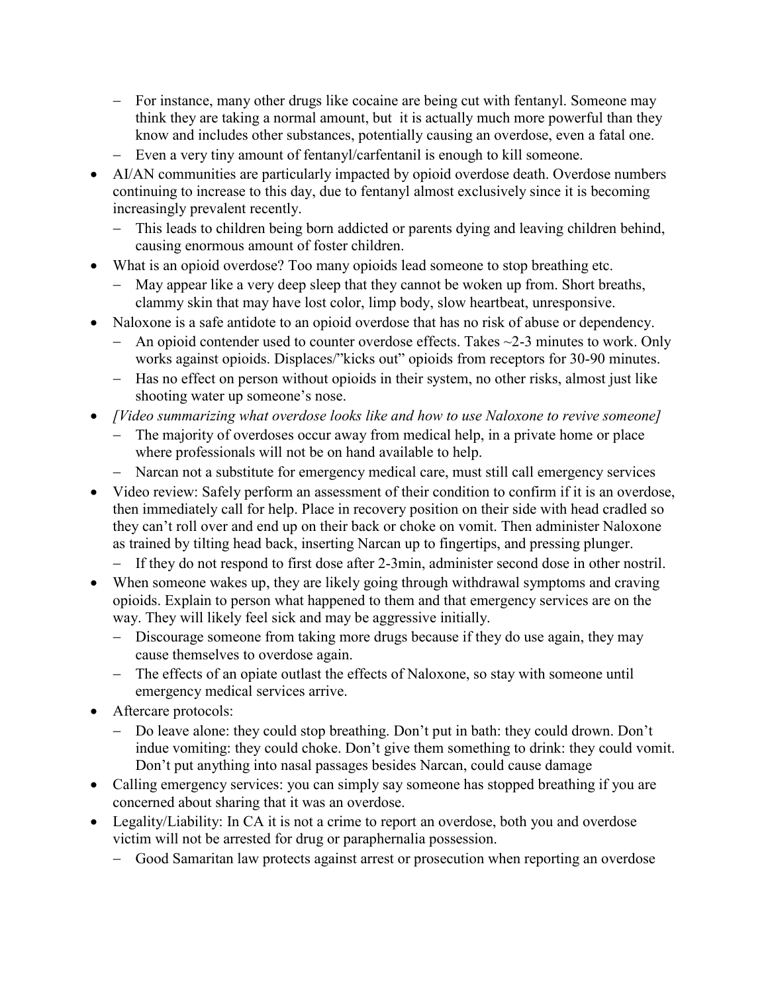- − For instance, many other drugs like cocaine are being cut with fentanyl. Someone may think they are taking a normal amount, but it is actually much more powerful than they know and includes other substances, potentially causing an overdose, even a fatal one.
- − Even a very tiny amount of fentanyl/carfentanil is enough to kill someone.
- AI/AN communities are particularly impacted by opioid overdose death. Overdose numbers continuing to increase to this day, due to fentanyl almost exclusively since it is becoming increasingly prevalent recently.
	- − This leads to children being born addicted or parents dying and leaving children behind, causing enormous amount of foster children.
- What is an opioid overdose? Too many opioids lead someone to stop breathing etc.
	- − May appear like a very deep sleep that they cannot be woken up from. Short breaths, clammy skin that may have lost color, limp body, slow heartbeat, unresponsive.
- Naloxone is a safe antidote to an opioid overdose that has no risk of abuse or dependency.
	- − An opioid contender used to counter overdose effects. Takes ~2-3 minutes to work. Only works against opioids. Displaces/"kicks out" opioids from receptors for 30-90 minutes.
	- − Has no effect on person without opioids in their system, no other risks, almost just like shooting water up someone's nose.
- *[Video summarizing what overdose looks like and how to use Naloxone to revive someone]* − The majority of overdoses occur away from medical help, in a private home or place
	- where professionals will not be on hand available to help.
	- − Narcan not a substitute for emergency medical care, must still call emergency services
- Video review: Safely perform an assessment of their condition to confirm if it is an overdose, then immediately call for help. Place in recovery position on their side with head cradled so they can't roll over and end up on their back or choke on vomit. Then administer Naloxone as trained by tilting head back, inserting Narcan up to fingertips, and pressing plunger.
	- − If they do not respond to first dose after 2-3min, administer second dose in other nostril.
- When someone wakes up, they are likely going through withdrawal symptoms and craving opioids. Explain to person what happened to them and that emergency services are on the way. They will likely feel sick and may be aggressive initially.
	- − Discourage someone from taking more drugs because if they do use again, they may cause themselves to overdose again.
	- − The effects of an opiate outlast the effects of Naloxone, so stay with someone until emergency medical services arrive.
- Aftercare protocols:
	- − Do leave alone: they could stop breathing. Don't put in bath: they could drown. Don't indue vomiting: they could choke. Don't give them something to drink: they could vomit. Don't put anything into nasal passages besides Narcan, could cause damage
- Calling emergency services: you can simply say someone has stopped breathing if you are concerned about sharing that it was an overdose.
- Legality/Liability: In CA it is not a crime to report an overdose, both you and overdose victim will not be arrested for drug or paraphernalia possession.
	- − Good Samaritan law protects against arrest or prosecution when reporting an overdose